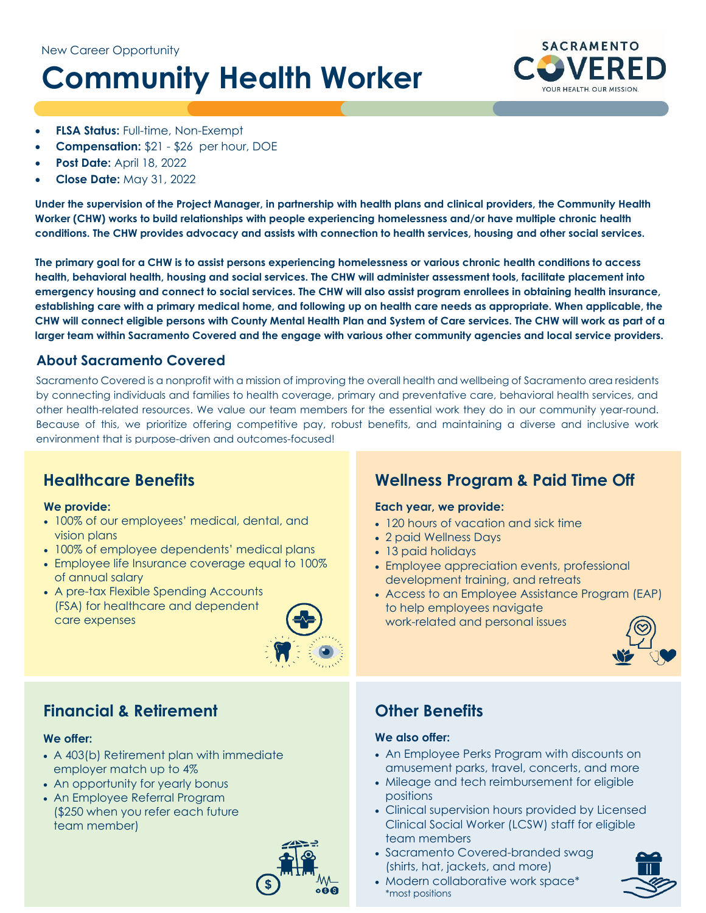# **Community Health Worker**



- **FLSA Status:** Full-time, Non-Exempt
- **Compensation:** \$21 \$26 per hour, DOE
- **Post Date:** April 18, 2022
- **Close Date:** May 31, 2022

**Under the supervision of the Project Manager, in partnership with health plans and clinical providers, the Community Health Worker (CHW) works to build relationships with people experiencing homelessness and/or have multiple chronic health conditions. The CHW provides advocacy and assists with connection to health services, housing and other social services.** 

**The primary goal for a CHW is to assist persons experiencing homelessness or various chronic health conditions to access health, behavioral health, housing and social services. The CHW will administer assessment tools, facilitate placement into emergency housing and connect to social services. The CHW will also assist program enrollees in obtaining health insurance, establishing care with a primary medical home, and following up on health care needs as appropriate. When applicable, the CHW will connect eligible persons with County Mental Health Plan and System of Care services. The CHW will work as part of a larger team within Sacramento Covered and the engage with various other community agencies and local service providers.** 

## **About Sacramento Covered**

Sacramento Covered is a nonprofit with a mission of improving the overall health and wellbeing of Sacramento area residents by connecting individuals and families to health coverage, primary and preventative care, behavioral health services, and other health-related resources. We value our team members for the essential work they do in our community year-round. Because of this, we prioritize offering competitive pay, robust benefits, and maintaining a diverse and inclusive work environment that is purpose-driven and outcomes-focused!

## **Healthcare Benefits**

#### **We provide:**

- 100% of our employees' medical, dental, and vision plans
- 100% of employee dependents' medical plans
- Employee life Insurance coverage equal to 100% of annual salary
- A pre-tax Flexible Spending Accounts (FSA) for healthcare and dependent care expenses



## **Financial & Retirement**

#### **We offer:**

- A 403(b) Retirement plan with immediate employer match up to 4%
- An opportunity for yearly bonus
- An Employee Referral Program (\$250 when you refer each future team member)



# **Wellness Program & Paid Time Off**

## **Each year, we provide:**

- 120 hours of vacation and sick time
- 2 paid Wellness Days
- 13 paid holidays
- Employee appreciation events, professional development training, and retreats
- Access to an Employee Assistance Program (EAP) to help employees navigate work-related and personal issues



## **Other Benefits**

#### **We also offer:**

- An Employee Perks Program with discounts on amusement parks, travel, concerts, and more
- Mileage and tech reimbursement for eligible positions
- Clinical supervision hours provided by Licensed Clinical Social Worker (LCSW) staff for eligible team members
- Sacramento Covered-branded swag (shirts, hat, jackets, and more)
- Modern collaborative work space\* \*most positions

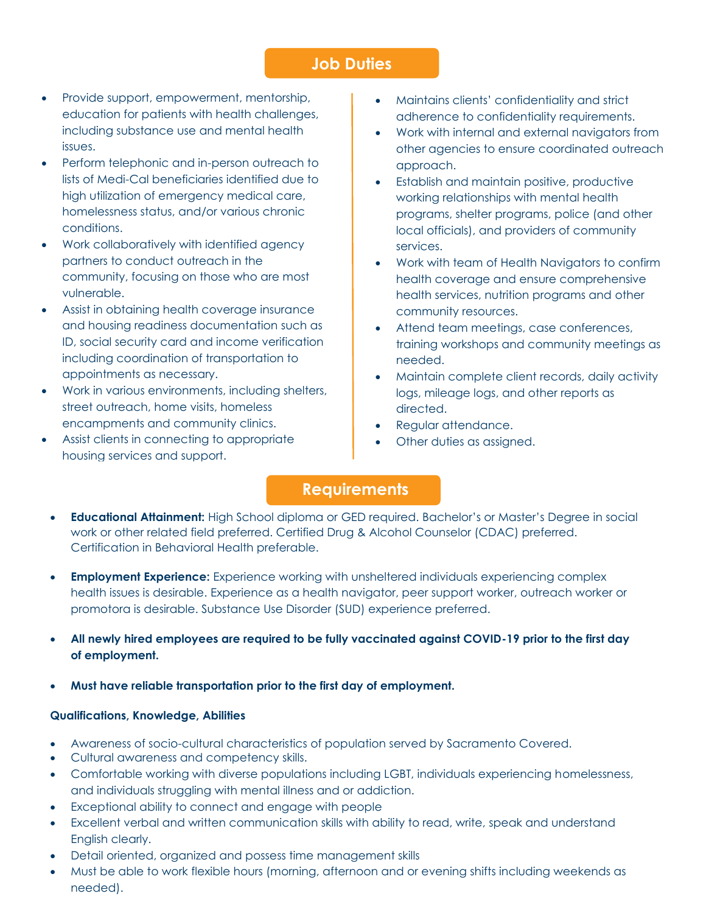## **Job Duties**

- Provide support, empowerment, mentorship, education for patients with health challenges, including substance use and mental health issues.
- Perform telephonic and in-person outreach to lists of Medi-Cal beneficiaries identified due to high utilization of emergency medical care, homelessness status, and/or various chronic conditions.
- Work collaboratively with identified agency partners to conduct outreach in the community, focusing on those who are most vulnerable.
- Assist in obtaining health coverage insurance and housing readiness documentation such as ID, social security card and income verification including coordination of transportation to appointments as necessary.
- Work in various environments, including shelters, street outreach, home visits, homeless encampments and community clinics.
- Assist clients in connecting to appropriate housing services and support.
- Maintains clients' confidentiality and strict adherence to confidentiality requirements.
- Work with internal and external navigators from other agencies to ensure coordinated outreach approach.
- Establish and maintain positive, productive working relationships with mental health programs, shelter programs, police (and other local officials), and providers of community services.
- Work with team of Health Navigators to confirm health coverage and ensure comprehensive health services, nutrition programs and other community resources.
- Attend team meetings, case conferences, training workshops and community meetings as needed.
- Maintain complete client records, daily activity logs, mileage logs, and other reports as directed.
- Regular attendance.
- Other duties as assigned.

## **Requirements**

- **Educational Attainment:** High School diploma or GED required. Bachelor's or Master's Degree in social work or other related field preferred. Certified Drug & Alcohol Counselor (CDAC) preferred. Certification in Behavioral Health preferable.
- **Employment Experience:** Experience working with unsheltered individuals experiencing complex health issues is desirable. Experience as a health navigator, peer support worker, outreach worker or promotora is desirable. Substance Use Disorder (SUD) experience preferred.
- **All newly hired employees are required to be fully vaccinated against COVID-19 prior to the first day of employment.**
- **Must have reliable transportation prior to the first day of employment.**

## **Qualifications, Knowledge, Abilities**

- Awareness of socio-cultural characteristics of population served by Sacramento Covered.
- Cultural awareness and competency skills.
- Comfortable working with diverse populations including LGBT, individuals experiencing homelessness, and individuals struggling with mental illness and or addiction.
- Exceptional ability to connect and engage with people
- Excellent verbal and written communication skills with ability to read, write, speak and understand English clearly.
- Detail oriented, organized and possess time management skills
- Must be able to work flexible hours (morning, afternoon and or evening shifts including weekends as needed).